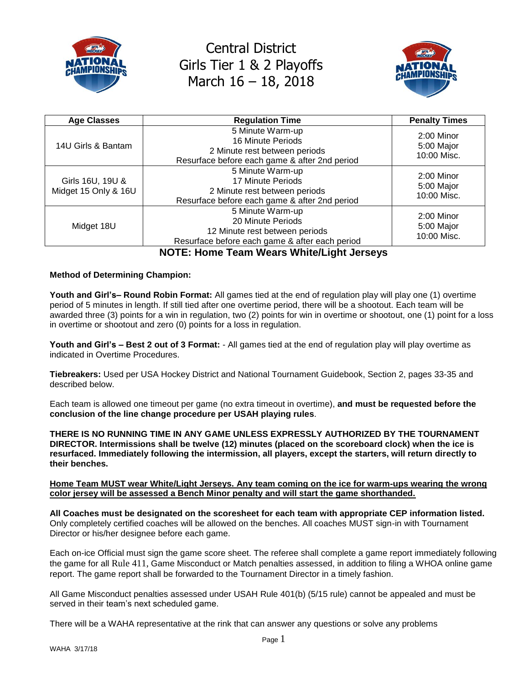



| <b>Age Classes</b>                       | <b>Regulation Time</b>                                                                                                    | <b>Penalty Times</b>                      |
|------------------------------------------|---------------------------------------------------------------------------------------------------------------------------|-------------------------------------------|
| 14U Girls & Bantam                       | 5 Minute Warm-up<br>16 Minute Periods<br>2 Minute rest between periods<br>Resurface before each game & after 2nd period   | $2:00$ Minor<br>5:00 Major<br>10:00 Misc. |
| Girls 16U, 19U &<br>Midget 15 Only & 16U | 5 Minute Warm-up<br>17 Minute Periods<br>2 Minute rest between periods<br>Resurface before each game & after 2nd period   | 2:00 Minor<br>5:00 Major<br>10:00 Misc.   |
| Midget 18U                               | 5 Minute Warm-up<br>20 Minute Periods<br>12 Minute rest between periods<br>Resurface before each game & after each period | $2:00$ Minor<br>5:00 Major<br>10:00 Misc. |

**NOTE: Home Team Wears White/Light Jerseys**

#### **Method of Determining Champion:**

**Youth and Girl's– Round Robin Format:** All games tied at the end of regulation play will play one (1) overtime period of 5 minutes in length. If still tied after one overtime period, there will be a shootout. Each team will be awarded three (3) points for a win in regulation, two (2) points for win in overtime or shootout, one (1) point for a loss in overtime or shootout and zero (0) points for a loss in regulation.

**Youth and Girl's – Best 2 out of 3 Format:** - All games tied at the end of regulation play will play overtime as indicated in Overtime Procedures.

**Tiebreakers:** Used per USA Hockey District and National Tournament Guidebook, Section 2, pages 33-35 and described below.

Each team is allowed one timeout per game (no extra timeout in overtime), **and must be requested before the conclusion of the line change procedure per USAH playing rules**.

**THERE IS NO RUNNING TIME IN ANY GAME UNLESS EXPRESSLY AUTHORIZED BY THE TOURNAMENT DIRECTOR. Intermissions shall be twelve (12) minutes (placed on the scoreboard clock) when the ice is resurfaced. Immediately following the intermission, all players, except the starters, will return directly to their benches.**

#### **Home Team MUST wear White/Light Jerseys. Any team coming on the ice for warm-ups wearing the wrong color jersey will be assessed a Bench Minor penalty and will start the game shorthanded.**

**All Coaches must be designated on the scoresheet for each team with appropriate CEP information listed.** Only completely certified coaches will be allowed on the benches. All coaches MUST sign-in with Tournament Director or his/her designee before each game.

Each on-ice Official must sign the game score sheet. The referee shall complete a game report immediately following the game for all Rule 411, Game Misconduct or Match penalties assessed, in addition to filing a WHOA online game report. The game report shall be forwarded to the Tournament Director in a timely fashion.

All Game Misconduct penalties assessed under USAH Rule 401(b) (5/15 rule) cannot be appealed and must be served in their team's next scheduled game.

There will be a WAHA representative at the rink that can answer any questions or solve any problems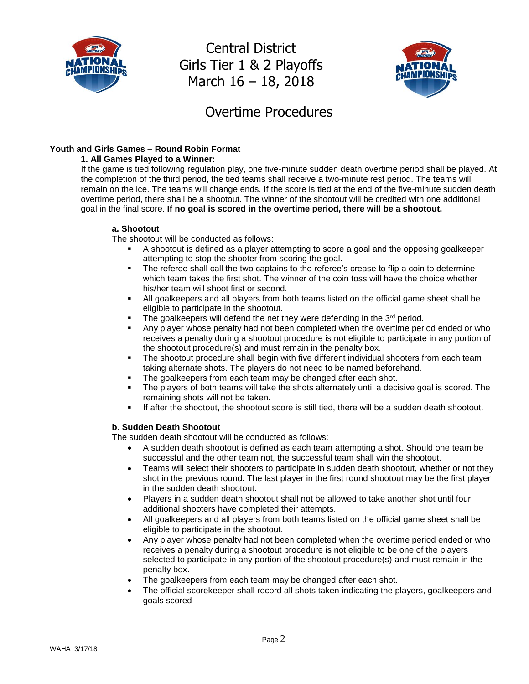



### Overtime Procedures

### **Youth and Girls Games – Round Robin Format**

#### **1. All Games Played to a Winner:**

If the game is tied following regulation play, one five-minute sudden death overtime period shall be played. At the completion of the third period, the tied teams shall receive a two-minute rest period. The teams will remain on the ice. The teams will change ends. If the score is tied at the end of the five-minute sudden death overtime period, there shall be a shootout. The winner of the shootout will be credited with one additional goal in the final score. **If no goal is scored in the overtime period, there will be a shootout.**

#### **a. Shootout**

The shootout will be conducted as follows:

- A shootout is defined as a player attempting to score a goal and the opposing goalkeeper attempting to stop the shooter from scoring the goal.
- The referee shall call the two captains to the referee's crease to flip a coin to determine which team takes the first shot. The winner of the coin toss will have the choice whether his/her team will shoot first or second.
- All goalkeepers and all players from both teams listed on the official game sheet shall be eligible to participate in the shootout.
- The goalkeepers will defend the net they were defending in the  $3<sup>rd</sup>$  period.
- Any player whose penalty had not been completed when the overtime period ended or who receives a penalty during a shootout procedure is not eligible to participate in any portion of the shootout procedure(s) and must remain in the penalty box.
- The shootout procedure shall begin with five different individual shooters from each team taking alternate shots. The players do not need to be named beforehand.
- The goalkeepers from each team may be changed after each shot.
- The players of both teams will take the shots alternately until a decisive goal is scored. The remaining shots will not be taken.
- If after the shootout, the shootout score is still tied, there will be a sudden death shootout.

### **b. Sudden Death Shootout**

The sudden death shootout will be conducted as follows:

- A sudden death shootout is defined as each team attempting a shot. Should one team be successful and the other team not, the successful team shall win the shootout.
- Teams will select their shooters to participate in sudden death shootout, whether or not they shot in the previous round. The last player in the first round shootout may be the first player in the sudden death shootout.
- Players in a sudden death shootout shall not be allowed to take another shot until four additional shooters have completed their attempts.
- All goalkeepers and all players from both teams listed on the official game sheet shall be eligible to participate in the shootout.
- Any player whose penalty had not been completed when the overtime period ended or who receives a penalty during a shootout procedure is not eligible to be one of the players selected to participate in any portion of the shootout procedure(s) and must remain in the penalty box.
- The goalkeepers from each team may be changed after each shot.
- The official scorekeeper shall record all shots taken indicating the players, goalkeepers and goals scored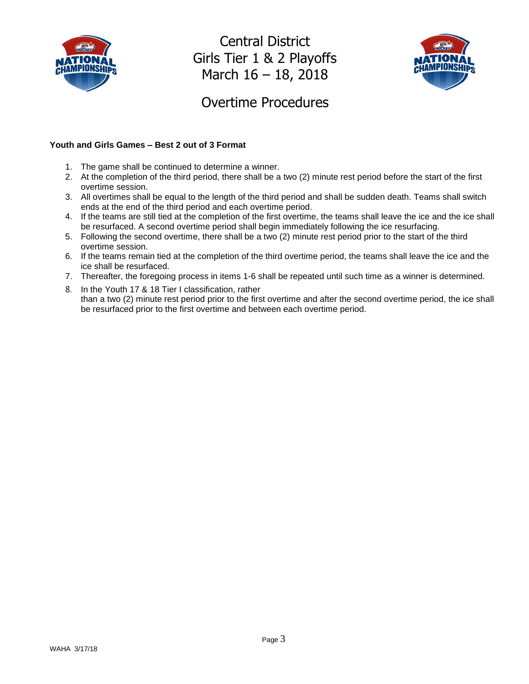



## Overtime Procedures

#### **Youth and Girls Games – Best 2 out of 3 Format**

- 1. The game shall be continued to determine a winner.
- 2. At the completion of the third period, there shall be a two (2) minute rest period before the start of the first overtime session.
- 3. All overtimes shall be equal to the length of the third period and shall be sudden death. Teams shall switch ends at the end of the third period and each overtime period.
- 4. If the teams are still tied at the completion of the first overtime, the teams shall leave the ice and the ice shall be resurfaced. A second overtime period shall begin immediately following the ice resurfacing.
- 5. Following the second overtime, there shall be a two (2) minute rest period prior to the start of the third overtime session.
- 6. If the teams remain tied at the completion of the third overtime period, the teams shall leave the ice and the ice shall be resurfaced.
- 7. Thereafter, the foregoing process in items 1-6 shall be repeated until such time as a winner is determined.
- 8. In the Youth 17 & 18 Tier I classification, rather than a two (2) minute rest period prior to the first overtime and after the second overtime period, the ice shall be resurfaced prior to the first overtime and between each overtime period.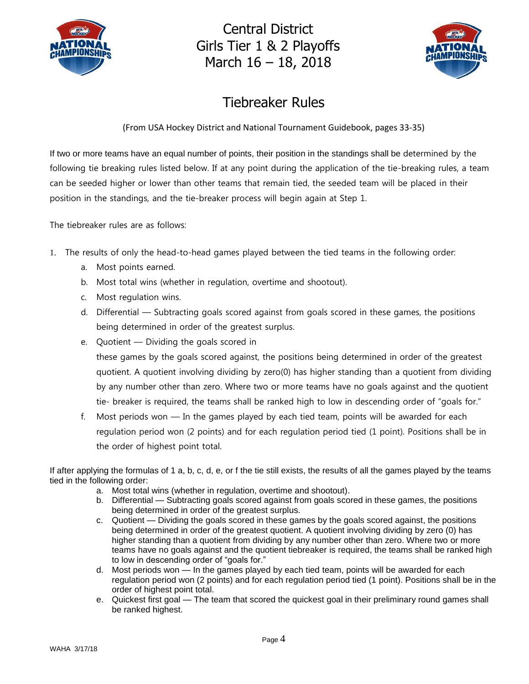



# Tiebreaker Rules

(From USA Hockey District and National Tournament Guidebook, pages 33-35)

If two or more teams have an equal number of points, their position in the standings shall be determined by the following tie breaking rules listed below. If at any point during the application of the tie-breaking rules, a team can be seeded higher or lower than other teams that remain tied, the seeded team will be placed in their position in the standings, and the tie-breaker process will begin again at Step 1.

The tiebreaker rules are as follows:

- 1. The results of only the head-to-head games played between the tied teams in the following order:
	- a. Most points earned.
	- b. Most total wins (whether in regulation, overtime and shootout).
	- c. Most regulation wins.
	- d. Differential Subtracting goals scored against from goals scored in these games, the positions being determined in order of the greatest surplus.
	- e. Quotient Dividing the goals scored in

these games by the goals scored against, the positions being determined in order of the greatest quotient. A quotient involving dividing by zero(0) has higher standing than a quotient from dividing by any number other than zero. Where two or more teams have no goals against and the quotient tie- breaker is required, the teams shall be ranked high to low in descending order of "goals for."

f. Most periods won — In the games played by each tied team, points will be awarded for each regulation period won (2 points) and for each regulation period tied (1 point). Positions shall be in the order of highest point total.

If after applying the formulas of 1 a, b, c, d, e, or f the tie still exists, the results of all the games played by the teams tied in the following order:

- a. Most total wins (whether in regulation, overtime and shootout).
- b. Differential Subtracting goals scored against from goals scored in these games, the positions being determined in order of the greatest surplus.
- c. Quotient Dividing the goals scored in these games by the goals scored against, the positions being determined in order of the greatest quotient. A quotient involving dividing by zero (0) has higher standing than a quotient from dividing by any number other than zero. Where two or more teams have no goals against and the quotient tiebreaker is required, the teams shall be ranked high to low in descending order of "goals for."
- d. Most periods won In the games played by each tied team, points will be awarded for each regulation period won (2 points) and for each regulation period tied (1 point). Positions shall be in the order of highest point total.
- e. Quickest first goal The team that scored the quickest goal in their preliminary round games shall be ranked highest.